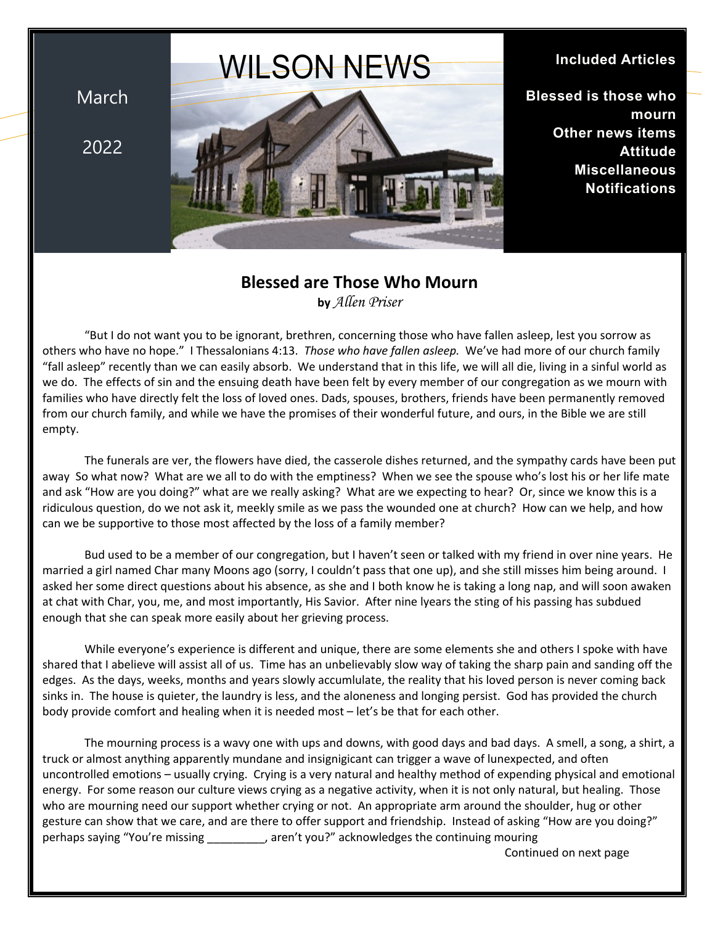# WILSON NEWS

March

2022



#### **Included Articles**

**Blessed is those who mourn Other news items Attitude Miscellaneous Notifications**

### **Blessed are Those Who Mourn**

**by** *Allen Priser*

"But I do not want you to be ignorant, brethren, concerning those who have fallen asleep, lest you sorrow as others who have no hope." I Thessalonians 4:13. *Those who have fallen asleep.* We've had more of our church family "fall asleep" recently than we can easily absorb. We understand that in this life, we will all die, living in a sinful world as we do. The effects of sin and the ensuing death have been felt by every member of our congregation as we mourn with families who have directly felt the loss of loved ones. Dads, spouses, brothers, friends have been permanently removed from our church family, and while we have the promises of their wonderful future, and ours, in the Bible we are still empty.

The funerals are ver, the flowers have died, the casserole dishes returned, and the sympathy cards have been put away So what now? What are we all to do with the emptiness? When we see the spouse who's lost his or her life mate and ask "How are you doing?" what are we really asking? What are we expecting to hear? Or, since we know this is a ridiculous question, do we not ask it, meekly smile as we pass the wounded one at church? How can we help, and how can we be supportive to those most affected by the loss of a family member?

Bud used to be a member of our congregation, but I haven't seen or talked with my friend in over nine years. He married a girl named Char many Moons ago (sorry, I couldn't pass that one up), and she still misses him being around. I asked her some direct questions about his absence, as she and I both know he is taking a long nap, and will soon awaken at chat with Char, you, me, and most importantly, His Savior. After nine lyears the sting of his passing has subdued enough that she can speak more easily about her grieving process.

While everyone's experience is different and unique, there are some elements she and others I spoke with have shared that I abelieve will assist all of us. Time has an unbelievably slow way of taking the sharp pain and sanding off the edges. As the days, weeks, months and years slowly accumlulate, the reality that his loved person is never coming back sinks in. The house is quieter, the laundry is less, and the aloneness and longing persist. God has provided the church body provide comfort and healing when it is needed most – let's be that for each other.

The mourning process is a wavy one with ups and downs, with good days and bad days. A smell, a song, a shirt, a truck or almost anything apparently mundane and insignigicant can trigger a wave of lunexpected, and often uncontrolled emotions – usually crying. Crying is a very natural and healthy method of expending physical and emotional energy. For some reason our culture views crying as a negative activity, when it is not only natural, but healing. Those who are mourning need our support whether crying or not. An appropriate arm around the shoulder, hug or other gesture can show that we care, and are there to offer support and friendship. Instead of asking "How are you doing?" perhaps saying "You're missing \_\_\_\_\_\_\_\_\_, aren't you?" acknowledges the continuing mouring

Continued on next page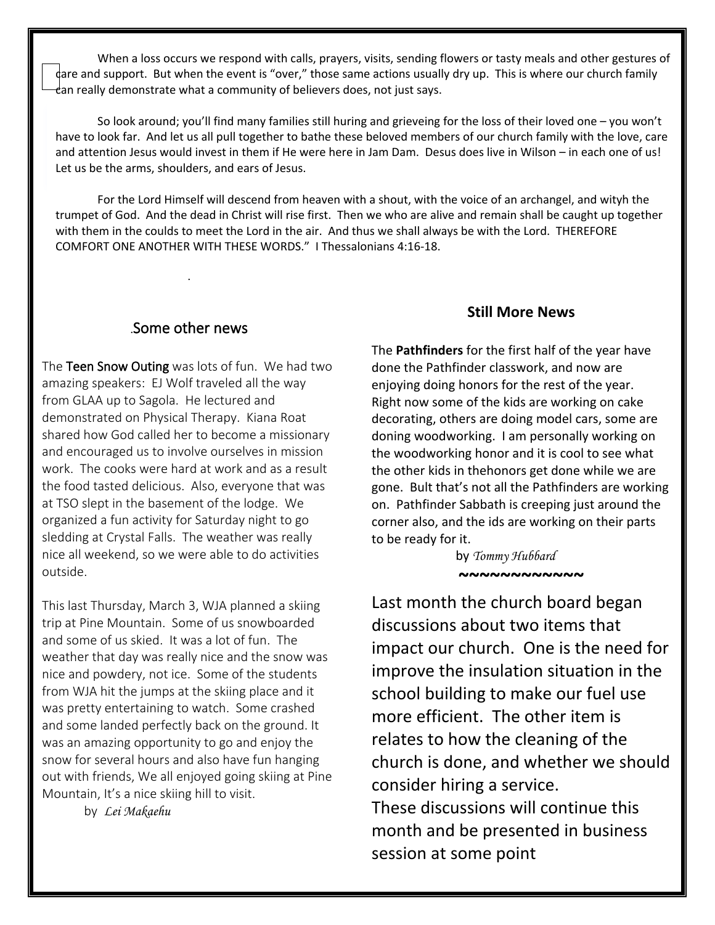When a loss occurs we respond with calls, prayers, visits, sending flowers or tasty meals and other gestures of care and support. But when the event is "over," those same actions usually dry up. This is where our church family  can really demonstrate what a community of believers does, not just says.

 and attention Jesus would invest in them if He were here in Jam Dam. Desus does live in Wilson – in each one of us! So look around; you'll find many families still huring and grieveing for the loss of their loved one – you won't have to look far. And let us all pull together to bathe these beloved members of our church family with the love, care Let us be the arms, shoulders, and ears of Jesus.

 For the Lord Himself will descend from heaven with a shout, with the voice of an archangel, and wityh the trumpet of God. And the dead in Christ will rise first. Then we who are alive and remain shall be caught up together . with them in the coulds to meet the Lord in the air. And thus we shall always be with the Lord. THEREFORE COMFORT ONE ANOTHER WITH THESE WORDS." I Thessalonians 4:16-18.

#### .**Some other news**

.

The **Teen Snow Outing** was lots of fun. We had two amazing speakers: EJ Wolf traveled all the way from GLAA up to Sagola. He lectured and demonstrated on Physical Therapy. Kiana Roat shared how God called her to become a missionary and encouraged us to involve ourselves in mission work. The cooks were hard at work and as a result the food tasted delicious. Also, everyone that was at TSO slept in the basement of the lodge. We organized a fun activity for Saturday night to go sledding at Crystal Falls. The weather was really nice all weekend, so we were able to do activities outside.

This last Thursday, March 3, WJA planned a skiing trip at Pine Mountain. Some of us snowboarded and some of us skied. It was a lot of fun. The weather that day was really nice and the snow was nice and powdery, not ice. Some of the students from WJA hit the jumps at the skiing place and it was pretty entertaining to watch. Some crashed and some landed perfectly back on the ground. It was an amazing opportunity to go and enjoy the snow for several hours and also have fun hanging out with friends, We all enjoyed going skiing at Pine Mountain, It's a nice skiing hill to visit.

by *Lei Makaehu*

#### **Still More News**

The **Pathfinders** for the first half of the year have done the Pathfinder classwork, and now are enjoying doing honors for the rest of the year. Right now some of the kids are working on cake decorating, others are doing model cars, some are doning woodworking. I am personally working on the woodworking honor and it is cool to see what the other kids in thehonors get done while we are gone. Bult that's not all the Pathfinders are working on. Pathfinder Sabbath is creeping just around the corner also, and the ids are working on their parts to be ready for it.

by *Tommy Hubbard* **~~~~~~~~~~~~**

Last month the church board began discussions about two items that impact our church. One is the need for improve the insulation situation in the school building to make our fuel use more efficient. The other item is relates to how the cleaning of the church is done, and whether we should consider hiring a service. These discussions will continue this month and be presented in business session at some point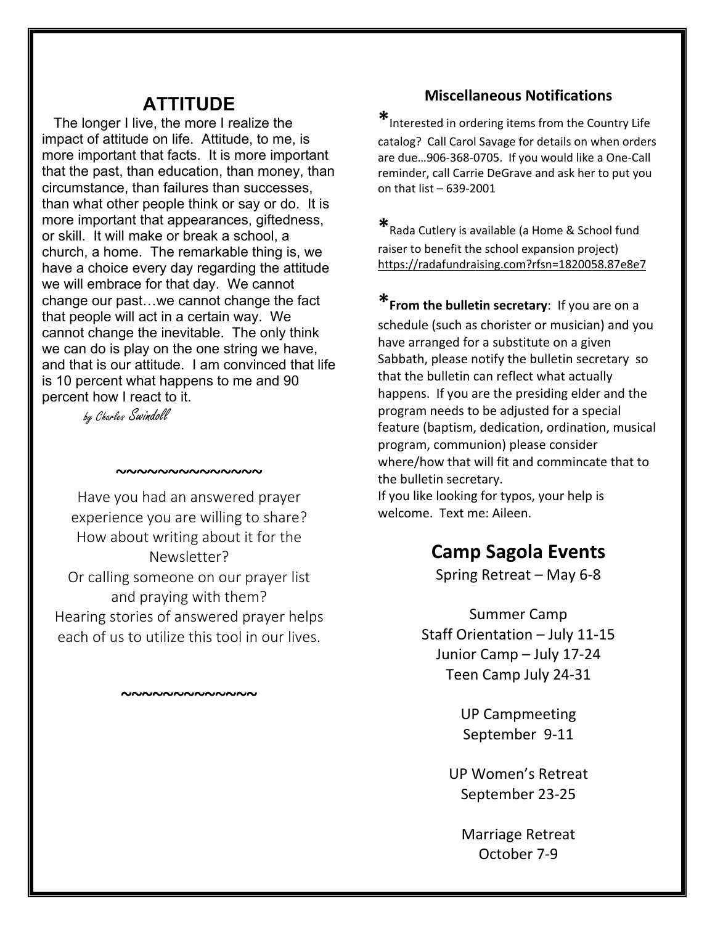## **ATTITUDE**

 The longer I live, the more I realize the impact of attitude on life. Attitude, to me, is more important that facts. It is more important that the past, than education, than money, than circumstance, than failures than successes, than what other people think or say or do. It is more important that appearances, giftedness, or skill. It will make or break a school, a church, a home. The remarkable thing is, we have a choice every day regarding the attitude we will embrace for that day. We cannot change our past…we cannot change the fact that people will act in a certain way. We cannot change the inevitable. The only think we can do is play on the one string we have, and that is our attitude. I am convinced that life is 10 percent what happens to me and 90 percent how I react to it.

by Charles Swindoll

## Have you had an answered prayer experience you are willing to share? How about writing about it for the Newsletter? Or calling someone on our prayer list

**~~~~~~~~~~~~~~**

and praying with them? Hearing stories of answered prayer helps each of us to utilize this tool in our lives.

**~~~~~~~~~~~~~**

#### **Miscellaneous Notifications**

**\***Interested in ordering items from the Country Life

catalog? Call Carol Savage for details on when orders are due…906-368-0705. If you would like a One-Call reminder, call Carrie DeGrave and ask her to put you on that list – 639-2001

**\***Rada Cutlery is available (a Home & School fund raiser to benefit the school expansion project) https://radafundraising.com?rfsn=1820058.87e8e7

**\*From the bulletin secretary**: If you are on a schedule (such as chorister or musician) and you have arranged for a substitute on a given Sabbath, please notify the bulletin secretary so that the bulletin can reflect what actually happens. If you are the presiding elder and the program needs to be adjusted for a special feature (baptism, dedication, ordination, musical program, communion) please consider where/how that will fit and commincate that to the bulletin secretary. If you like looking for typos, your help is welcome. Text me: Aileen.

# **Camp Sagola Events**

Spring Retreat – May 6-8

Summer Camp Staff Orientation – July 11-15 Junior Camp – July 17-24 Teen Camp July 24-31

> UP Campmeeting September 9-11

UP Women's Retreat September 23-25

Marriage Retreat October 7-9